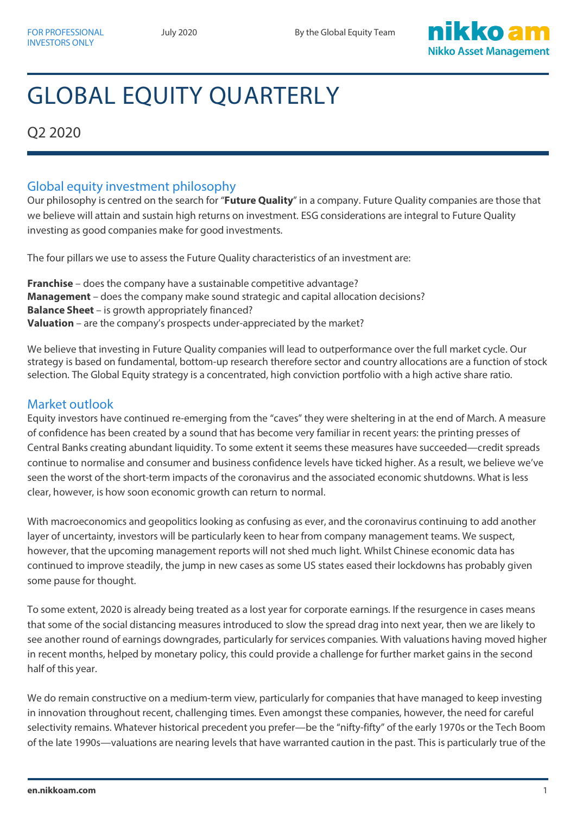

# GLOBAL EQUITY QUARTERLY

Q2 2020

## Global equity investment philosophy

Our philosophy is centred on the search for "**Future Quality**" in a company. Future Quality companies are those that we believe will attain and sustain high returns on investment. ESG considerations are integral to Future Quality investing as good companies make for good investments.

The four pillars we use to assess the Future Quality characteristics of an investment are:

**Franchise** – does the company have a sustainable competitive advantage? **Management** – does the company make sound strategic and capital allocation decisions? **Balance Sheet** – is growth appropriately financed? **Valuation** – are the company's prospects under-appreciated by the market?

We believe that investing in Future Quality companies will lead to outperformance over the full market cycle. Our strategy is based on fundamental, bottom-up research therefore sector and country allocations are a function of stock selection. The Global Equity strategy is a concentrated, high conviction portfolio with a high active share ratio.

## Market outlook

Equity investors have continued re-emerging from the "caves" they were sheltering in at the end of March. A measure of confidence has been created by a sound that has become very familiar in recent years: the printing presses of Central Banks creating abundant liquidity. To some extent it seems these measures have succeeded—credit spreads continue to normalise and consumer and business confidence levels have ticked higher. As a result, we believe we've seen the worst of the short-term impacts of the coronavirus and the associated economic shutdowns. What is less clear, however, is how soon economic growth can return to normal.

With macroeconomics and geopolitics looking as confusing as ever, and the coronavirus continuing to add another layer of uncertainty, investors will be particularly keen to hear from company management teams. We suspect, however, that the upcoming management reports will not shed much light. Whilst Chinese economic data has continued to improve steadily, the jump in new cases as some US states eased their lockdowns has probably given some pause for thought.

To some extent, 2020 is already being treated as a lost year for corporate earnings. If the resurgence in cases means that some of the social distancing measures introduced to slow the spread drag into next year, then we are likely to see another round of earnings downgrades, particularly for services companies. With valuations having moved higher in recent months, helped by monetary policy, this could provide a challenge for further market gains in the second half of this year.

We do remain constructive on a medium-term view, particularly for companies that have managed to keep investing in innovation throughout recent, challenging times. Even amongst these companies, however, the need for careful selectivity remains. Whatever historical precedent you prefer—be the "nifty-fifty" of the early 1970s or the Tech Boom of the late 1990s—valuations are nearing levels that have warranted caution in the past. This is particularly true of the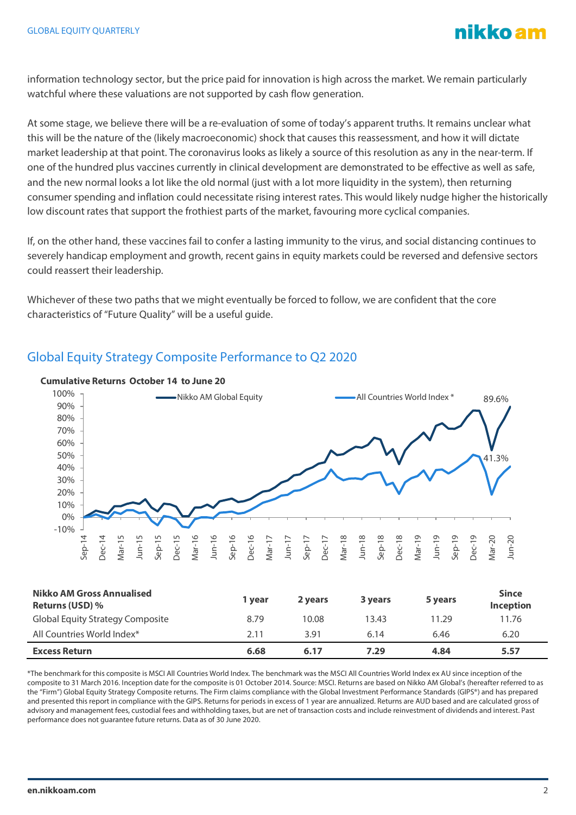

information technology sector, but the price paid for innovation is high across the market. We remain particularly watchful where these valuations are not supported by cash flow generation.

At some stage, we believe there will be a re-evaluation of some of today's apparent truths. It remains unclear what this will be the nature of the (likely macroeconomic) shock that causes this reassessment, and how it will dictate market leadership at that point. The coronavirus looks as likely a source of this resolution as any in the near-term. If one of the hundred plus vaccines currently in clinical development are demonstrated to be effective as well as safe, and the new normal looks a lot like the old normal (just with a lot more liquidity in the system), then returning consumer spending and inflation could necessitate rising interest rates. This would likely nudge higher the historically low discount rates that support the frothiest parts of the market, favouring more cyclical companies.

If, on the other hand, these vaccines fail to confer a lasting immunity to the virus, and social distancing continues to severely handicap employment and growth, recent gains in equity markets could be reversed and defensive sectors could reassert their leadership.

Whichever of these two paths that we might eventually be forced to follow, we are confident that the core characteristics of "Future Quality" will be a useful guide.



# Global Equity Strategy Composite Performance to Q2 2020

| <b>Nikko AM Gross Annualised</b><br><b>Returns (USD)</b> % | 1 vear | 2 years | 3 years | 5 years | <b>Since</b><br><b>Inception</b> |
|------------------------------------------------------------|--------|---------|---------|---------|----------------------------------|
| <b>Global Equity Strategy Composite</b>                    | 8.79   | 10.08   | 13.43   | 11.29   | 11.76                            |
| All Countries World Index*                                 | 2.11   | 3.91    | 6.14    | 6.46    | 6.20                             |
| <b>Excess Return</b>                                       | 6.68   | 6.17    | 7.29    | 4.84    | 5.57                             |

\*The benchmark for this composite is MSCI All Countries World Index. The benchmark was the MSCI All Countries World Index ex AU since inception of the composite to 31 March 2016. Inception date for the composite is 01 October 2014. Source: MSCI. Returns are based on Nikko AM Global's (hereafter referred to as the "Firm") Global Equity Strategy Composite returns. The Firm claims compliance with the Global Investment Performance Standards (GIPS®) and has prepared and presented this report in compliance with the GIPS. Returns for periods in excess of 1 year are annualized. Returns are AUD based and are calculated gross of advisory and management fees, custodial fees and withholding taxes, but are net of transaction costs and include reinvestment of dividends and interest. Past performance does not guarantee future returns. Data as of 30 June 2020.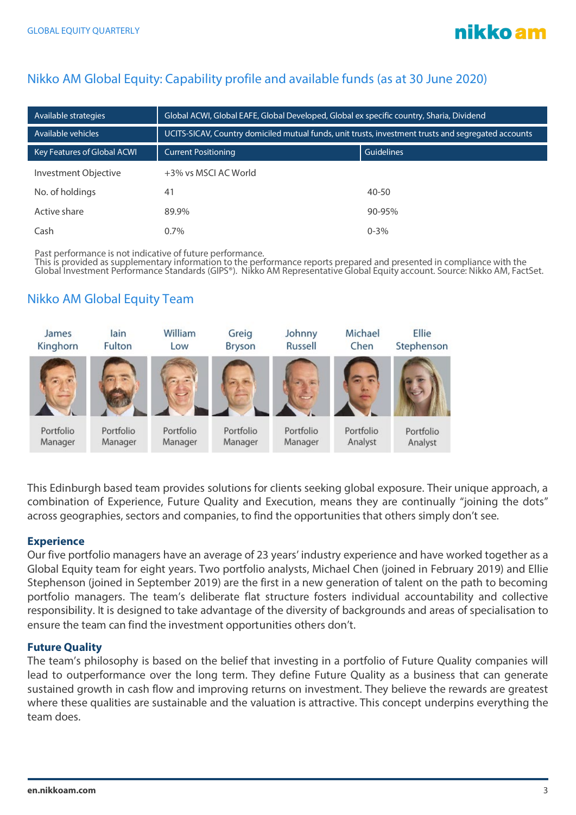# Nikko AM Global Equity: Capability profile and available funds (as at 30 June 2020)

| Available strategies        | Global ACWI, Global EAFE, Global Developed, Global ex specific country, Sharia, Dividend            |            |  |  |
|-----------------------------|-----------------------------------------------------------------------------------------------------|------------|--|--|
| Available vehicles          | UCITS-SICAV, Country domiciled mutual funds, unit trusts, investment trusts and segregated accounts |            |  |  |
| Key Features of Global ACWI | <b>Current Positioning</b>                                                                          | Guidelines |  |  |
| Investment Objective        | +3% vs MSCI AC World                                                                                |            |  |  |
| No. of holdings             | 41                                                                                                  | $40 - 50$  |  |  |
| Active share                | 89.9%                                                                                               | $90 - 95%$ |  |  |
| Cash                        | $0.7\%$                                                                                             | $0 - 3\%$  |  |  |

Past performance is not indicative of future performance.

This is provided as supplementary information to the performance reports prepared and presented in compliance with the Global Investment Performance Standards (GIPS®). Nikko AM Representative Global Equity account. Source: Nikko AM, FactSet.

## Nikko AM Global Equity Team



This Edinburgh based team provides solutions for clients seeking global exposure. Their unique approach, a combination of Experience, Future Quality and Execution, means they are continually "joining the dots" across geographies, sectors and companies, to find the opportunities that others simply don't see.

### **Experience**

Our five portfolio managers have an average of 23 years' industry experience and have worked together as a Global Equity team for eight years. Two portfolio analysts, Michael Chen (joined in February 2019) and Ellie Stephenson (joined in September 2019) are the first in a new generation of talent on the path to becoming portfolio managers. The team's deliberate flat structure fosters individual accountability and collective responsibility. It is designed to take advantage of the diversity of backgrounds and areas of specialisation to ensure the team can find the investment opportunities others don't.

#### **Future Quality**

The team's philosophy is based on the belief that investing in a portfolio of Future Quality companies will lead to outperformance over the long term. They define Future Quality as a business that can generate sustained growth in cash flow and improving returns on investment. They believe the rewards are greatest where these qualities are sustainable and the valuation is attractive. This concept underpins everything the team does.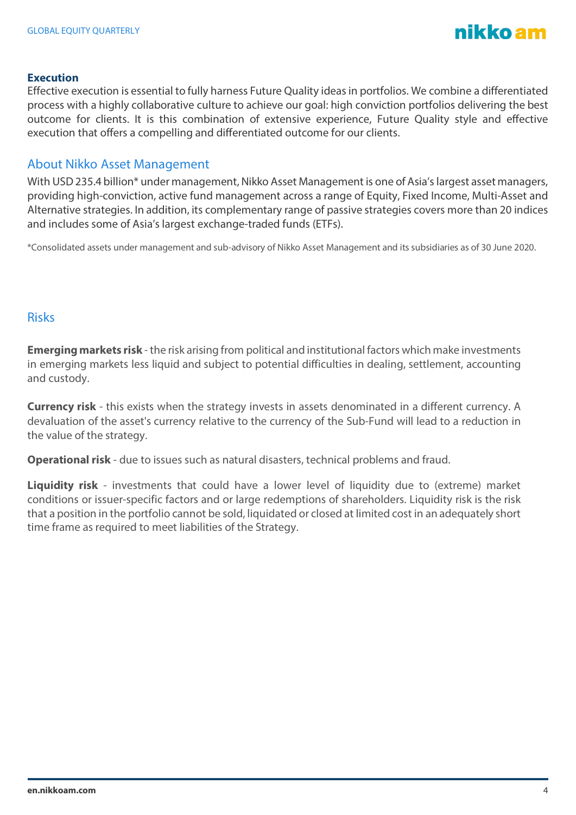

#### **Execution**

Effective execution is essential to fully harness Future Quality ideas in portfolios. We combine a differentiated process with a highly collaborative culture to achieve our goal: high conviction portfolios delivering the best outcome for clients. It is this combination of extensive experience, Future Quality style and effective execution that offers a compelling and differentiated outcome for our clients.

## About Nikko Asset Management

With USD 235.4 billion\* under management, Nikko Asset Management is one of Asia's largest asset managers, providing high-conviction, active fund management across a range of Equity, Fixed Income, Multi-Asset and Alternative strategies. In addition, its complementary range of passive strategies covers more than 20 indices and includes some of Asia's largest exchange-traded funds (ETFs).

\*Consolidated assets under management and sub-advisory of Nikko Asset Management and its subsidiaries as of 30 June 2020.

#### Risks

**Emerging markets risk** - the risk arising from political and institutional factors which make investments in emerging markets less liquid and subject to potential difficulties in dealing, settlement, accounting and custody.

**Currency risk** - this exists when the strategy invests in assets denominated in a different currency. A devaluation of the asset's currency relative to the currency of the Sub-Fund will lead to a reduction in the value of the strategy.

**Operational risk** - due to issues such as natural disasters, technical problems and fraud.

**Liquidity risk** - investments that could have a lower level of liquidity due to (extreme) market conditions or issuer-specific factors and or large redemptions of shareholders. Liquidity risk is the risk that a position in the portfolio cannot be sold, liquidated or closed at limited cost in an adequately short time frame as required to meet liabilities of the Strategy.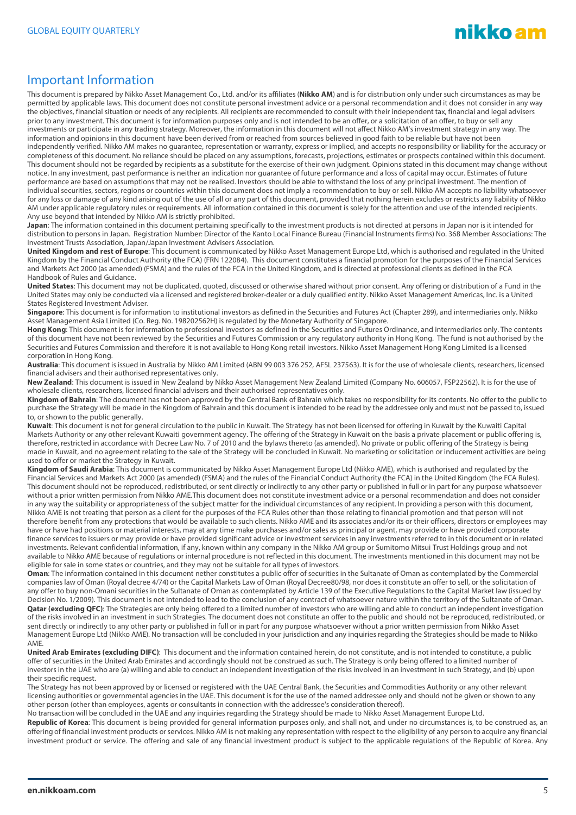

### Important Information

This document is prepared by Nikko Asset Management Co., Ltd. and/or its affiliates (**Nikko AM**) and is for distribution only under such circumstances as may be permitted by applicable laws. This document does not constitute personal investment advice or a personal recommendation and it does not consider in any way the objectives, financial situation or needs of any recipients. All recipients are recommended to consult with their independent tax, financial and legal advisers prior to any investment. This document is for information purposes only and is not intended to be an offer, or a solicitation of an offer, to buy or sell any investments or participate in any trading strategy. Moreover, the information in this document will not affect Nikko AM's investment strategy in any way. The information and opinions in this document have been derived from or reached from sources believed in good faith to be reliable but have not been independently verified. Nikko AM makes no guarantee, representation or warranty, express or implied, and accepts no responsibility or liability for the accuracy or completeness of this document. No reliance should be placed on any assumptions, forecasts, projections, estimates or prospects contained within this document. This document should not be regarded by recipients as a substitute for the exercise of their own judgment. Opinions stated in this document may change without notice. In any investment, past performance is neither an indication nor guarantee of future performance and a loss of capital may occur. Estimates of future performance are based on assumptions that may not be realised. Investors should be able to withstand the loss of any principal investment. The mention of individual securities, sectors, regions or countries within this document does not imply a recommendation to buy or sell. Nikko AM accepts no liability whatsoever for any loss or damage of any kind arising out of the use of all or any part of this document, provided that nothing herein excludes or restricts any liability of Nikko AM under applicable regulatory rules or requirements. All information contained in this document is solely for the attention and use of the intended recipients. Any use beyond that intended by Nikko AM is strictly prohibited.

Japan: The information contained in this document pertaining specifically to the investment products is not directed at persons in Japan nor is it intended for distribution to persons in Japan. Registration Number: Director of the Kanto Local Finance Bureau (Financial Instruments firms) No. 368 Member Associations: The Investment Trusts Association, Japan/Japan Investment Advisers Association.

**United Kingdom and rest of Europe**: This document is communicated by Nikko Asset Management Europe Ltd, which is authorised and regulated in the United Kingdom by the Financial Conduct Authority (the FCA) (FRN 122084). This document constitutes a financial promotion for the purposes of the Financial Services and Markets Act 2000 (as amended) (FSMA) and the rules of the FCA in the United Kingdom, and is directed at professional clients as defined in the FCA Handbook of Rules and Guidance.

**United States**: This document may not be duplicated, quoted, discussed or otherwise shared without prior consent. Any offering or distribution of a Fund in the United States may only be conducted via a licensed and registered broker-dealer or a duly qualified entity. Nikko Asset Management Americas, Inc. is a United States Registered Investment Adviser.

**Singapore**: This document is for information to institutional investors as defined in the Securities and Futures Act (Chapter 289), and intermediaries only. Nikko Asset Management Asia Limited (Co. Reg. No. 198202562H) is regulated by the Monetary Authority of Singapore.

**Hong Kong**: This document is for information to professional investors as defined in the Securities and Futures Ordinance, and intermediaries only. The contents of this document have not been reviewed by the Securities and Futures Commission or any regulatory authority in Hong Kong. The fund is not authorised by the Securities and Futures Commission and therefore it is not available to Hong Kong retail investors. Nikko Asset Management Hong Kong Limited is a licensed corporation in Hong Kong.

**Australia**: This document is issued in Australia by Nikko AM Limited (ABN 99 003 376 252, AFSL 237563). It is for the use of wholesale clients, researchers, licensed financial advisers and their authorised representatives only.

**New Zealand**: This document is issued in New Zealand by Nikko Asset Management New Zealand Limited (Company No. 606057, FSP22562). It is for the use of wholesale clients, researchers, licensed financial advisers and their authorised representatives only.

**Kingdom of Bahrain**: The document has not been approved by the Central Bank of Bahrain which takes no responsibility for its contents. No offer to the public to purchase the Strategy will be made in the Kingdom of Bahrain and this document is intended to be read by the addressee only and must not be passed to, issued to, or shown to the public generally.

**Kuwait**: This document is not for general circulation to the public in Kuwait. The Strategy has not been licensed for offering in Kuwait by the Kuwaiti Capital Markets Authority or any other relevant Kuwaiti government agency. The offering of the Strategy in Kuwait on the basis a private placement or public offering is, therefore, restricted in accordance with Decree Law No. 7 of 2010 and the bylaws thereto (as amended). No private or public offering of the Strategy is being made in Kuwait, and no agreement relating to the sale of the Strategy will be concluded in Kuwait. No marketing or solicitation or inducement activities are being used to offer or market the Strategy in Kuwait.

**Kingdom of Saudi Arabia**: This document is communicated by Nikko Asset Management Europe Ltd (Nikko AME), which is authorised and regulated by the Financial Services and Markets Act 2000 (as amended) (FSMA) and the rules of the Financial Conduct Authority (the FCA) in the United Kingdom (the FCA Rules). This document should not be reproduced, redistributed, or sent directly or indirectly to any other party or published in full or in part for any purpose whatsoever without a prior written permission from Nikko AME.This document does not constitute investment advice or a personal recommendation and does not consider in any way the suitability or appropriateness of the subject matter for the individual circumstances of any recipient. In providing a person with this document, Nikko AME is not treating that person as a client for the purposes of the FCA Rules other than those relating to financial promotion and that person will not therefore benefit from any protections that would be available to such clients. Nikko AME and its associates and/or its or their officers, directors or employees may have or have had positions or material interests, may at any time make purchases and/or sales as principal or agent, may provide or have provided corporate finance services to issuers or may provide or have provided significant advice or investment services in any investments referred to in this document or in related investments. Relevant confidential information, if any, known within any company in the Nikko AM group or Sumitomo Mitsui Trust Holdings group and not available to Nikko AME because of regulations or internal procedure is not reflected in this document. The investments mentioned in this document may not be eligible for sale in some states or countries, and they may not be suitable for all types of investors.

**Oman**: The information contained in this document nether constitutes a public offer of securities in the Sultanate of Oman as contemplated by the Commercial companies law of Oman (Royal decree 4/74) or the Capital Markets Law of Oman (Royal Decree80/98, nor does it constitute an offer to sell, or the solicitation of any offer to buy non-Omani securities in the Sultanate of Oman as contemplated by Article 139 of the Executive Regulations to the Capital Market law (issued by Decision No. 1/2009). This document is not intended to lead to the conclusion of any contract of whatsoever nature within the territory of the Sultanate of Oman. Qatar (excluding QFC): The Strategies are only being offered to a limited number of investors who are willing and able to conduct an independent investigation of the risks involved in an investment in such Strategies. The document does not constitute an offer to the public and should not be reproduced, redistributed, or sent directly or indirectly to any other party or published in full or in part for any purpose whatsoever without a prior written permission from Nikko Asset Management Europe Ltd (Nikko AME). No transaction will be concluded in your jurisdiction and any inquiries regarding the Strategies should be made to Nikko AME.

United Arab Emirates (excluding DIFC): This document and the information contained herein, do not constitute, and is not intended to constitute, a public offer of securities in the United Arab Emirates and accordingly should not be construed as such. The Strategy is only being offered to a limited number of investors in the UAE who are (a) willing and able to conduct an independent investigation of the risks involved in an investment in such Strategy, and (b) upon their specific request.

The Strategy has not been approved by or licensed or registered with the UAE Central Bank, the Securities and Commodities Authority or any other relevant licensing authorities or governmental agencies in the UAE. This document is for the use of the named addressee only and should not be given or shown to any other person (other than employees, agents or consultants in connection with the addressee's consideration thereof).

No transaction will be concluded in the UAE and any inquiries regarding the Strategy should be made to Nikko Asset Management Europe Ltd.

**Republic of Korea**: This document is being provided for general information purposes only, and shall not, and under no circumstances is, to be construed as, an offering of financial investment products or services. Nikko AM is not making any representation with respect to the eligibility of any person to acquire any financial investment product or service. The offering and sale of any financial investment product is subject to the applicable regulations of the Republic of Korea. Any